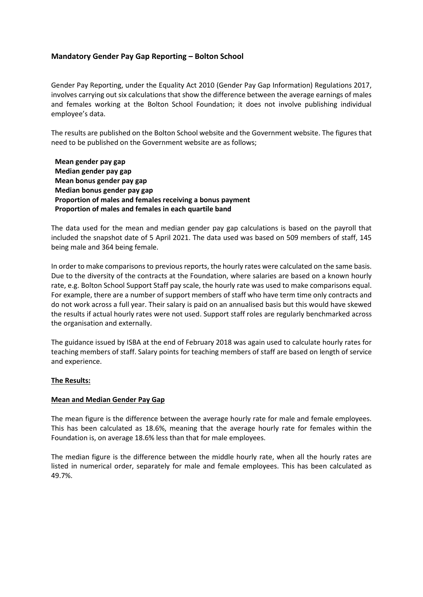### **Mandatory Gender Pay Gap Reporting – Bolton School**

Gender Pay Reporting, under the Equality Act 2010 (Gender Pay Gap Information) Regulations 2017, involves carrying out six calculations that show the difference between the average earnings of males and females working at the Bolton School Foundation; it does not involve publishing individual employee's data.

The results are published on the Bolton School website and the Government website. The figures that need to be published on the Government website are as follows;

**Mean gender pay gap Median gender pay gap Mean bonus gender pay gap Median bonus gender pay gap Proportion of males and females receiving a bonus payment Proportion of males and females in each quartile band**

The data used for the mean and median gender pay gap calculations is based on the payroll that included the snapshot date of 5 April 2021. The data used was based on 509 members of staff, 145 being male and 364 being female.

In order to make comparisons to previous reports, the hourly rates were calculated on the same basis. Due to the diversity of the contracts at the Foundation, where salaries are based on a known hourly rate, e.g. Bolton School Support Staff pay scale, the hourly rate was used to make comparisons equal. For example, there are a number of support members of staff who have term time only contracts and do not work across a full year. Their salary is paid on an annualised basis but this would have skewed the results if actual hourly rates were not used. Support staff roles are regularly benchmarked across the organisation and externally.

The guidance issued by ISBA at the end of February 2018 was again used to calculate hourly rates for teaching members of staff. Salary points for teaching members of staff are based on length of service and experience.

### **The Results:**

#### **Mean and Median Gender Pay Gap**

The mean figure is the difference between the average hourly rate for male and female employees. This has been calculated as 18.6%, meaning that the average hourly rate for females within the Foundation is, on average 18.6% less than that for male employees.

The median figure is the difference between the middle hourly rate, when all the hourly rates are listed in numerical order, separately for male and female employees. This has been calculated as 49.7%.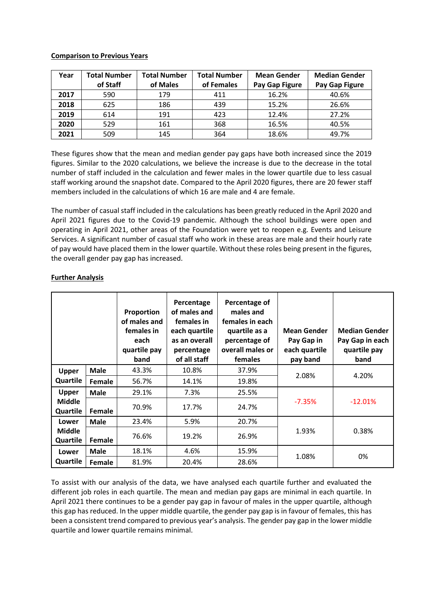### **Comparison to Previous Years**

| Year | <b>Total Number</b> | <b>Total Number</b> | <b>Total Number</b> | <b>Mean Gender</b>    | <b>Median Gender</b>  |
|------|---------------------|---------------------|---------------------|-----------------------|-----------------------|
|      | of Staff            | of Males            | of Females          | <b>Pay Gap Figure</b> | <b>Pay Gap Figure</b> |
| 2017 | 590                 | 179                 | 411                 | 16.2%                 | 40.6%                 |
| 2018 | 625                 | 186                 | 439                 | 15.2%                 | 26.6%                 |
| 2019 | 614                 | 191                 | 423                 | 12.4%                 | 27.2%                 |
| 2020 | 529                 | 161                 | 368                 | 16.5%                 | 40.5%                 |
| 2021 | 509                 | 145                 | 364                 | 18.6%                 | 49.7%                 |

These figures show that the mean and median gender pay gaps have both increased since the 2019 figures. Similar to the 2020 calculations, we believe the increase is due to the decrease in the total number of staff included in the calculation and fewer males in the lower quartile due to less casual staff working around the snapshot date. Compared to the April 2020 figures, there are 20 fewer staff members included in the calculations of which 16 are male and 4 are female.

The number of casual staff included in the calculations has been greatly reduced in the April 2020 and April 2021 figures due to the Covid-19 pandemic. Although the school buildings were open and operating in April 2021, other areas of the Foundation were yet to reopen e.g. Events and Leisure Services. A significant number of casual staff who work in these areas are male and their hourly rate of pay would have placed them in the lower quartile. Without these roles being present in the figures, the overall gender pay gap has increased.

|                           |               | Proportion<br>of males and<br>females in<br>each<br>quartile pay<br>band | Percentage<br>of males and<br>females in<br>each quartile<br>as an overall<br>percentage<br>of all staff | Percentage of<br>males and<br>females in each<br>quartile as a<br>percentage of<br>overall males or<br><b>females</b> | <b>Mean Gender</b><br>Pay Gap in<br>each quartile<br>pay band | <b>Median Gender</b><br>Pay Gap in each<br>quartile pay<br>band |
|---------------------------|---------------|--------------------------------------------------------------------------|----------------------------------------------------------------------------------------------------------|-----------------------------------------------------------------------------------------------------------------------|---------------------------------------------------------------|-----------------------------------------------------------------|
| <b>Upper</b>              | <b>Male</b>   | 43.3%                                                                    | 10.8%                                                                                                    | 37.9%                                                                                                                 | 2.08%                                                         | 4.20%                                                           |
| Quartile                  | Female        | 56.7%                                                                    | 14.1%                                                                                                    | 19.8%                                                                                                                 |                                                               |                                                                 |
| <b>Upper</b>              | <b>Male</b>   | 29.1%                                                                    | 7.3%                                                                                                     | 25.5%                                                                                                                 |                                                               |                                                                 |
| <b>Middle</b><br>Quartile | <b>Female</b> | 70.9%                                                                    | 17.7%                                                                                                    | 24.7%                                                                                                                 | $-7.35%$                                                      | $-12.01%$                                                       |
| Lower                     | <b>Male</b>   | 23.4%                                                                    | 5.9%                                                                                                     | 20.7%                                                                                                                 |                                                               |                                                                 |
| <b>Middle</b><br>Quartile | Female        | 76.6%                                                                    | 19.2%                                                                                                    | 26.9%                                                                                                                 | 1.93%                                                         | 0.38%                                                           |
| Lower                     | <b>Male</b>   | 18.1%                                                                    | 4.6%                                                                                                     | 15.9%                                                                                                                 |                                                               | 0%                                                              |
| Quartile                  | Female        | 81.9%                                                                    | 20.4%                                                                                                    | 28.6%                                                                                                                 | 1.08%                                                         |                                                                 |

### **Further Analysis**

To assist with our analysis of the data, we have analysed each quartile further and evaluated the different job roles in each quartile. The mean and median pay gaps are minimal in each quartile. In April 2021 there continues to be a gender pay gap in favour of males in the upper quartile, although this gap has reduced. In the upper middle quartile, the gender pay gap is in favour of females, this has been a consistent trend compared to previous year's analysis. The gender pay gap in the lower middle quartile and lower quartile remains minimal.